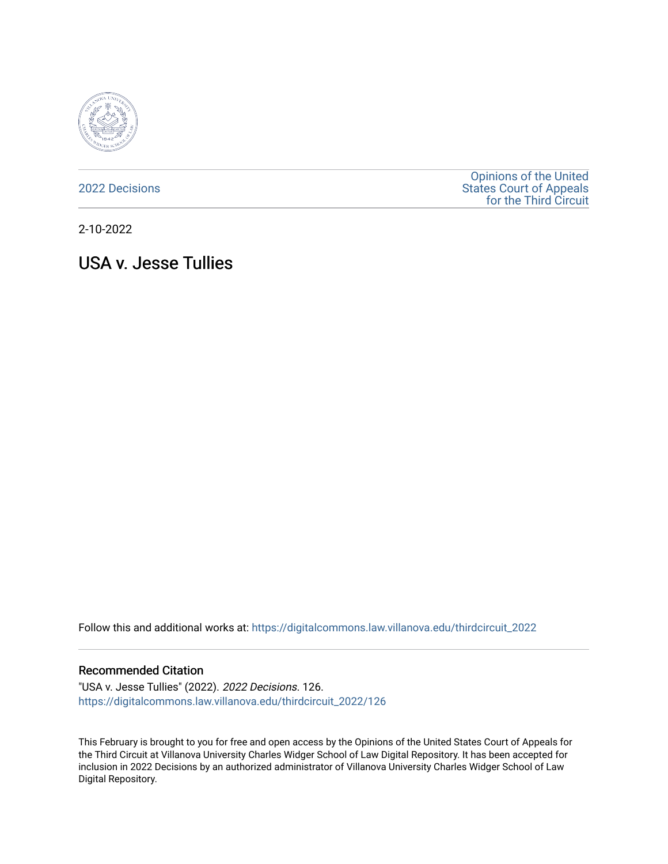

[2022 Decisions](https://digitalcommons.law.villanova.edu/thirdcircuit_2022)

[Opinions of the United](https://digitalcommons.law.villanova.edu/thirdcircuit)  [States Court of Appeals](https://digitalcommons.law.villanova.edu/thirdcircuit)  [for the Third Circuit](https://digitalcommons.law.villanova.edu/thirdcircuit) 

2-10-2022

# USA v. Jesse Tullies

Follow this and additional works at: [https://digitalcommons.law.villanova.edu/thirdcircuit\\_2022](https://digitalcommons.law.villanova.edu/thirdcircuit_2022?utm_source=digitalcommons.law.villanova.edu%2Fthirdcircuit_2022%2F126&utm_medium=PDF&utm_campaign=PDFCoverPages) 

#### Recommended Citation

"USA v. Jesse Tullies" (2022). 2022 Decisions. 126. [https://digitalcommons.law.villanova.edu/thirdcircuit\\_2022/126](https://digitalcommons.law.villanova.edu/thirdcircuit_2022/126?utm_source=digitalcommons.law.villanova.edu%2Fthirdcircuit_2022%2F126&utm_medium=PDF&utm_campaign=PDFCoverPages)

This February is brought to you for free and open access by the Opinions of the United States Court of Appeals for the Third Circuit at Villanova University Charles Widger School of Law Digital Repository. It has been accepted for inclusion in 2022 Decisions by an authorized administrator of Villanova University Charles Widger School of Law Digital Repository.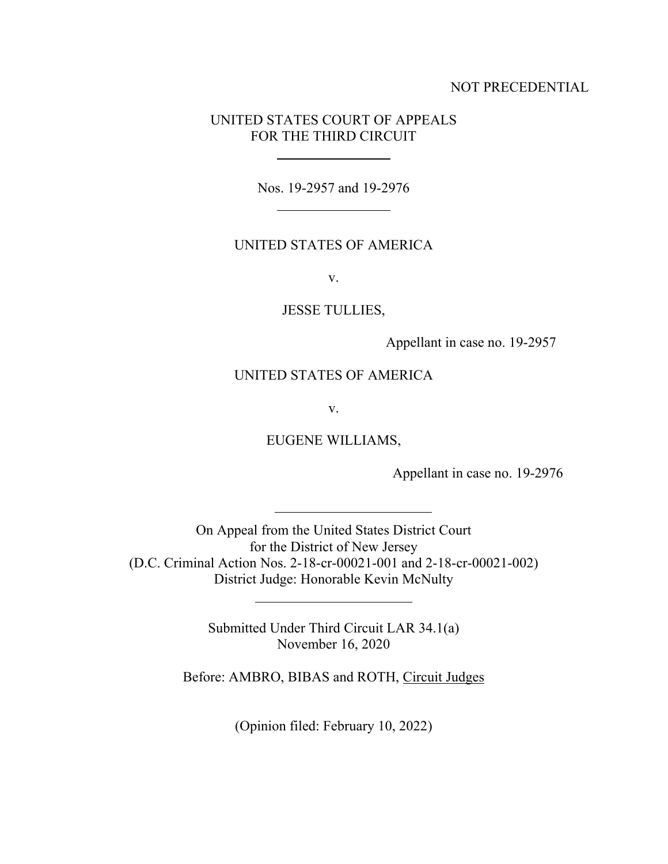## NOT PRECEDENTIAL

# UNITED STATES COURT OF APPEALS FOR THE THIRD CIRCUIT

Nos. 19-2957 and 19-2976

## UNITED STATES OF AMERICA

v.

### JESSE TULLIES,

Appellant in case no. 19-2957

## UNITED STATES OF AMERICA

v.

EUGENE WILLIAMS,

Appellant in case no. 19-2976

On Appeal from the United States District Court for the District of New Jersey (D.C. Criminal Action Nos. 2-18-cr-00021-001 and 2-18-cr-00021-002) District Judge: Honorable Kevin McNulty

> Submitted Under Third Circuit LAR 34.1(a) November 16, 2020

l

Before: AMBRO, BIBAS and ROTH, Circuit Judges

(Opinion filed: February 10, 2022)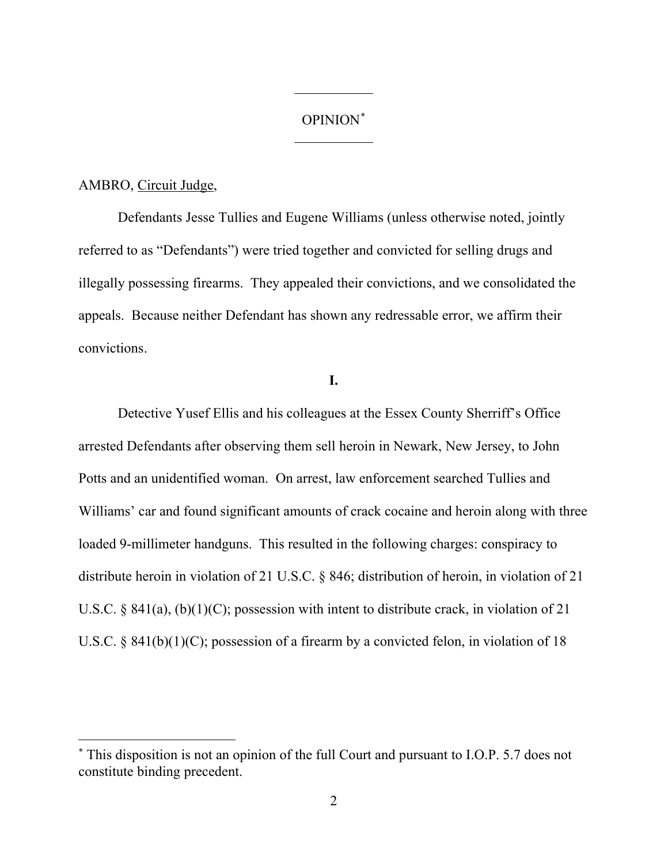#### OPINION\*

#### AMBRO, Circuit Judge,

Defendants Jesse Tullies and Eugene Williams (unless otherwise noted, jointly referred to as "Defendants") were tried together and convicted for selling drugs and illegally possessing firearms. They appealed their convictions, and we consolidated the appeals. Because neither Defendant has shown any redressable error, we affirm their convictions.

# **I.**

Detective Yusef Ellis and his colleagues at the Essex County Sherriff's Office arrested Defendants after observing them sell heroin in Newark, New Jersey, to John Potts and an unidentified woman. On arrest, law enforcement searched Tullies and Williams' car and found significant amounts of crack cocaine and heroin along with three loaded 9-millimeter handguns. This resulted in the following charges: conspiracy to distribute heroin in violation of 21 U.S.C. § 846; distribution of heroin, in violation of 21 U.S.C. § 841(a), (b)(1)(C); possession with intent to distribute crack, in violation of 21 U.S.C. §  $841(b)(1)(C)$ ; possession of a firearm by a convicted felon, in violation of 18

<sup>\*</sup> This disposition is not an opinion of the full Court and pursuant to I.O.P. 5.7 does not constitute binding precedent.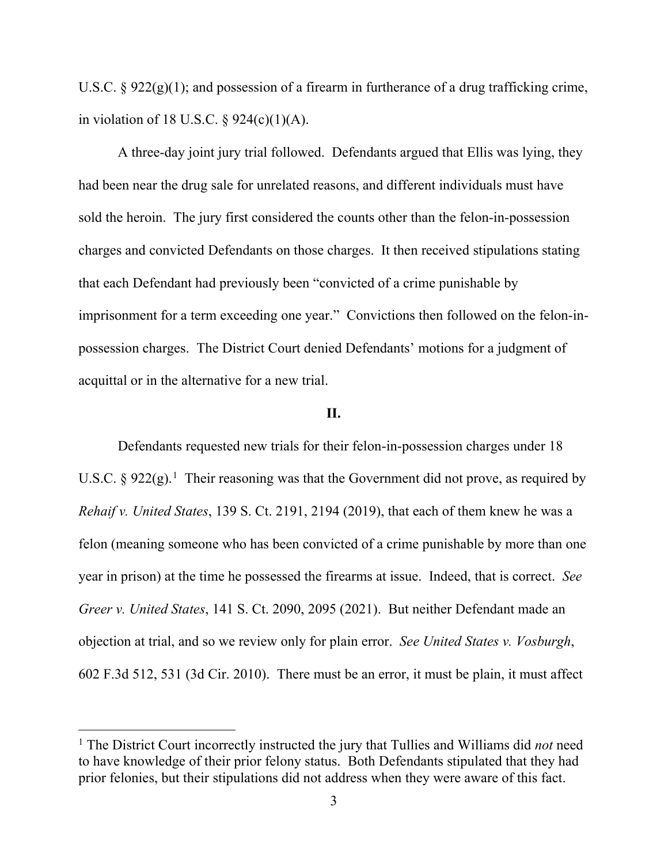U.S.C.  $\S 922(g)(1)$ ; and possession of a firearm in furtherance of a drug trafficking crime, in violation of 18 U.S.C.  $\S$  924(c)(1)(A).

A three-day joint jury trial followed. Defendants argued that Ellis was lying, they had been near the drug sale for unrelated reasons, and different individuals must have sold the heroin. The jury first considered the counts other than the felon-in-possession charges and convicted Defendants on those charges. It then received stipulations stating that each Defendant had previously been "convicted of a crime punishable by imprisonment for a term exceeding one year." Convictions then followed on the felon-inpossession charges. The District Court denied Defendants' motions for a judgment of acquittal or in the alternative for a new trial.

## **II.**

Defendants requested new trials for their felon-in-possession charges under 18 U.S.C.  $\S 922(g)$ .<sup>1</sup> Their reasoning was that the Government did not prove, as required by *Rehaif v. United States*, 139 S. Ct. 2191, 2194 (2019), that each of them knew he was a felon (meaning someone who has been convicted of a crime punishable by more than one year in prison) at the time he possessed the firearms at issue. Indeed, that is correct. *See Greer v. United States*, 141 S. Ct. 2090, 2095 (2021). But neither Defendant made an objection at trial, and so we review only for plain error. *See United States v. Vosburgh*, 602 F.3d 512, 531 (3d Cir. 2010). There must be an error, it must be plain, it must affect

<sup>1</sup> The District Court incorrectly instructed the jury that Tullies and Williams did *not* need to have knowledge of their prior felony status. Both Defendants stipulated that they had prior felonies, but their stipulations did not address when they were aware of this fact.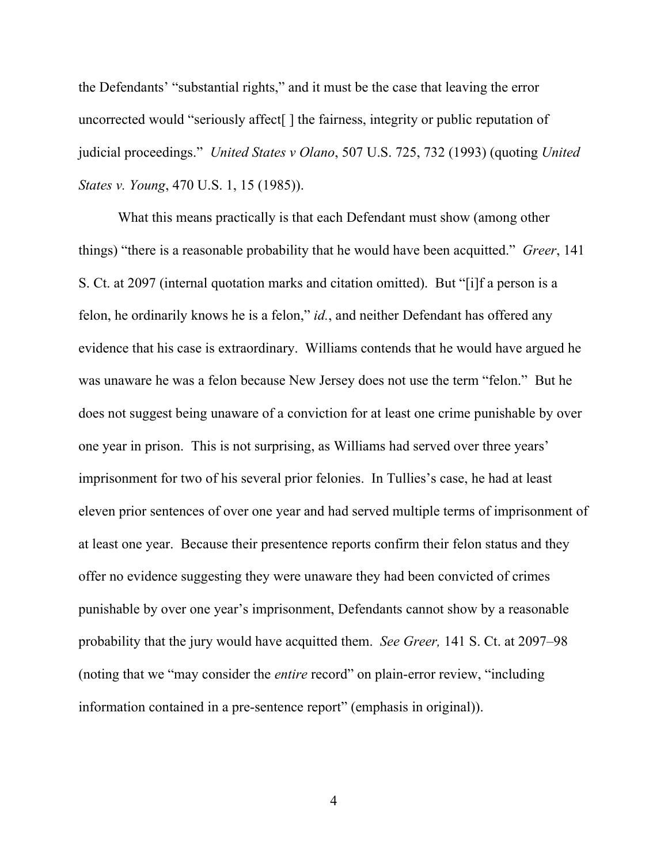the Defendants' "substantial rights," and it must be the case that leaving the error uncorrected would "seriously affect<sup>[]</sup> the fairness, integrity or public reputation of judicial proceedings." *United States v Olano*, 507 U.S. 725, 732 (1993) (quoting *United States v. Young*, 470 U.S. 1, 15 (1985)).

What this means practically is that each Defendant must show (among other things) "there is a reasonable probability that he would have been acquitted." *Greer*, 141 S. Ct. at 2097 (internal quotation marks and citation omitted). But "[i]f a person is a felon, he ordinarily knows he is a felon," *id.*, and neither Defendant has offered any evidence that his case is extraordinary. Williams contends that he would have argued he was unaware he was a felon because New Jersey does not use the term "felon." But he does not suggest being unaware of a conviction for at least one crime punishable by over one year in prison. This is not surprising, as Williams had served over three years' imprisonment for two of his several prior felonies. In Tullies's case, he had at least eleven prior sentences of over one year and had served multiple terms of imprisonment of at least one year. Because their presentence reports confirm their felon status and they offer no evidence suggesting they were unaware they had been convicted of crimes punishable by over one year's imprisonment, Defendants cannot show by a reasonable probability that the jury would have acquitted them. *See Greer,* 141 S. Ct. at 2097–98 (noting that we "may consider the *entire* record" on plain-error review, "including information contained in a pre-sentence report" (emphasis in original)).

4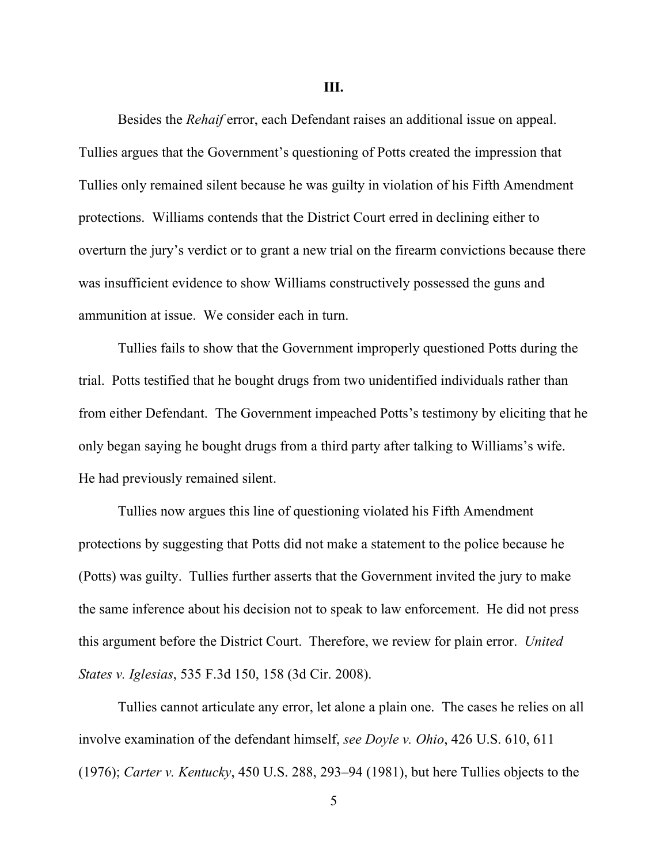**III.**

Besides the *Rehaif* error, each Defendant raises an additional issue on appeal. Tullies argues that the Government's questioning of Potts created the impression that Tullies only remained silent because he was guilty in violation of his Fifth Amendment protections. Williams contends that the District Court erred in declining either to overturn the jury's verdict or to grant a new trial on the firearm convictions because there was insufficient evidence to show Williams constructively possessed the guns and ammunition at issue. We consider each in turn.

Tullies fails to show that the Government improperly questioned Potts during the trial. Potts testified that he bought drugs from two unidentified individuals rather than from either Defendant. The Government impeached Potts's testimony by eliciting that he only began saying he bought drugs from a third party after talking to Williams's wife. He had previously remained silent.

Tullies now argues this line of questioning violated his Fifth Amendment protections by suggesting that Potts did not make a statement to the police because he (Potts) was guilty. Tullies further asserts that the Government invited the jury to make the same inference about his decision not to speak to law enforcement. He did not press this argument before the District Court. Therefore, we review for plain error. *United States v. Iglesias*, 535 F.3d 150, 158 (3d Cir. 2008).

Tullies cannot articulate any error, let alone a plain one. The cases he relies on all involve examination of the defendant himself, *see Doyle v. Ohio*, 426 U.S. 610, 611 (1976); *Carter v. Kentucky*, 450 U.S. 288, 293–94 (1981), but here Tullies objects to the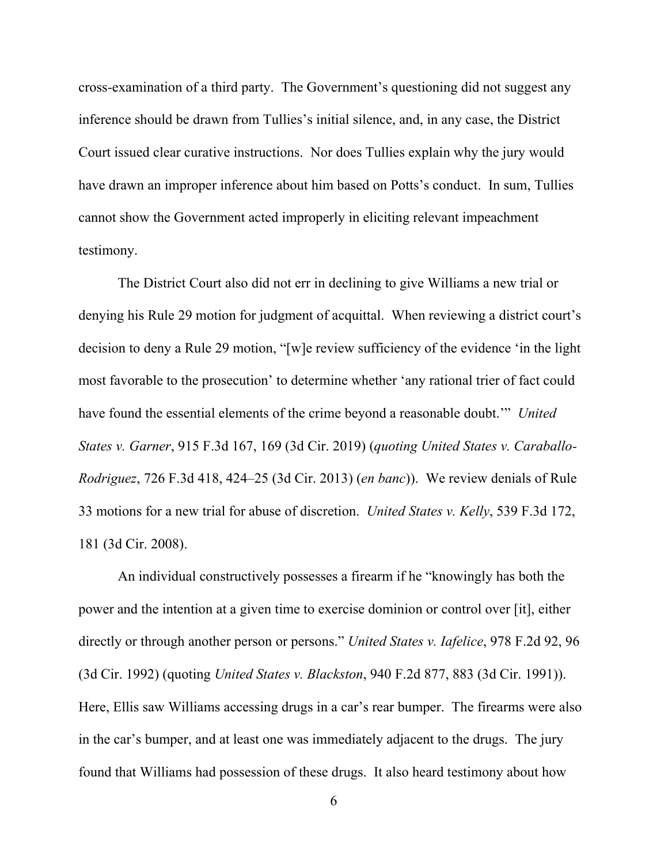cross-examination of a third party. The Government's questioning did not suggest any inference should be drawn from Tullies's initial silence, and, in any case, the District Court issued clear curative instructions. Nor does Tullies explain why the jury would have drawn an improper inference about him based on Potts's conduct. In sum, Tullies cannot show the Government acted improperly in eliciting relevant impeachment testimony.

The District Court also did not err in declining to give Williams a new trial or denying his Rule 29 motion for judgment of acquittal. When reviewing a district court's decision to deny a Rule 29 motion, "[w]e review sufficiency of the evidence 'in the light most favorable to the prosecution' to determine whether 'any rational trier of fact could have found the essential elements of the crime beyond a reasonable doubt.'" *United States v. Garner*, 915 F.3d 167, 169 (3d Cir. 2019) (*quoting United States v. Caraballo-Rodriguez*, 726 F.3d 418, 424–25 (3d Cir. 2013) (*en banc*)). We review denials of Rule 33 motions for a new trial for abuse of discretion. *United States v. Kelly*, 539 F.3d 172, 181 (3d Cir. 2008).

An individual constructively possesses a firearm if he "knowingly has both the power and the intention at a given time to exercise dominion or control over [it], either directly or through another person or persons." *United States v. Iafelice*, 978 F.2d 92, 96 (3d Cir. 1992) (quoting *United States v. Blackston*, 940 F.2d 877, 883 (3d Cir. 1991)). Here, Ellis saw Williams accessing drugs in a car's rear bumper. The firearms were also in the car's bumper, and at least one was immediately adjacent to the drugs. The jury found that Williams had possession of these drugs. It also heard testimony about how

6